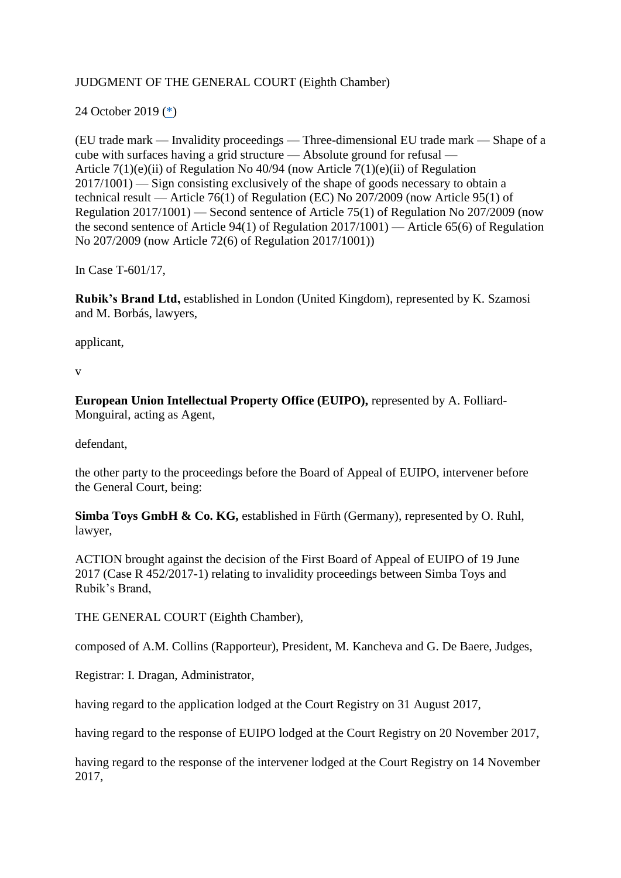### JUDGMENT OF THE GENERAL COURT (Eighth Chamber)

### <span id="page-0-0"></span>24 October 2019 [\(\\*\)](#page-20-0)

(EU trade mark — Invalidity proceedings — Three-dimensional EU trade mark — Shape of a cube with surfaces having a grid structure — Absolute ground for refusal — Article 7(1)(e)(ii) of Regulation No 40/94 (now Article 7(1)(e)(ii) of Regulation 2017/1001) — Sign consisting exclusively of the shape of goods necessary to obtain a technical result — Article 76(1) of Regulation (EC) No 207/2009 (now Article 95(1) of Regulation 2017/1001) — Second sentence of Article 75(1) of Regulation No 207/2009 (now the second sentence of Article 94(1) of Regulation 2017/1001) — Article 65(6) of Regulation No 207/2009 (now Article 72(6) of Regulation 2017/1001))

In Case T-601/17,

**Rubik's Brand Ltd,** established in London (United Kingdom), represented by K. Szamosi and M. Borbás, lawyers,

applicant,

v

**European Union Intellectual Property Office (EUIPO),** represented by A. Folliard-Monguiral, acting as Agent,

defendant,

the other party to the proceedings before the Board of Appeal of EUIPO, intervener before the General Court, being:

**Simba Toys GmbH & Co. KG,** established in Fürth (Germany), represented by O. Ruhl, lawyer,

ACTION brought against the decision of the First Board of Appeal of EUIPO of 19 June 2017 (Case R 452/2017-1) relating to invalidity proceedings between Simba Toys and Rubik's Brand,

THE GENERAL COURT (Eighth Chamber),

composed of A.M. Collins (Rapporteur), President, M. Kancheva and G. De Baere, Judges,

Registrar: I. Dragan, Administrator,

having regard to the application lodged at the Court Registry on 31 August 2017,

having regard to the response of EUIPO lodged at the Court Registry on 20 November 2017,

having regard to the response of the intervener lodged at the Court Registry on 14 November 2017,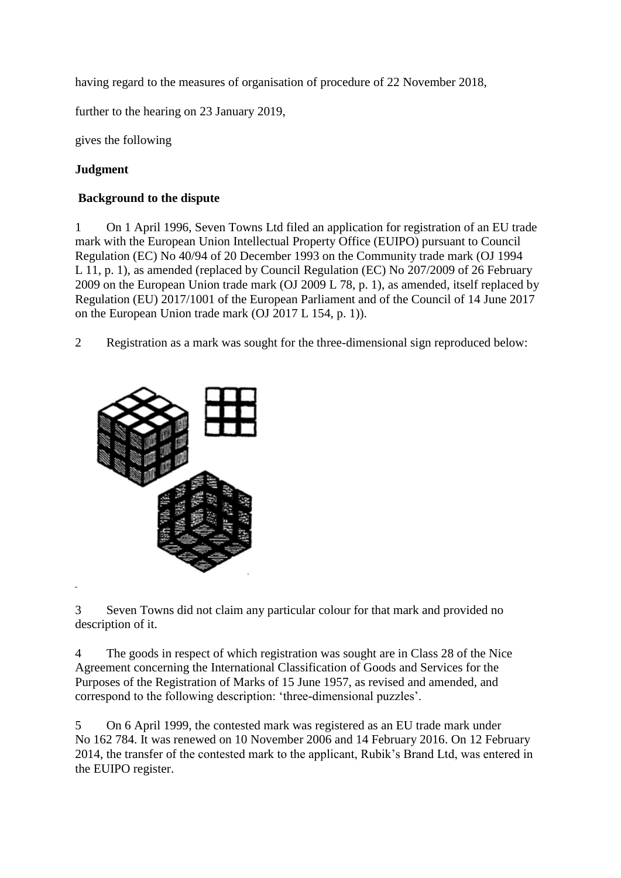having regard to the measures of organisation of procedure of 22 November 2018,

further to the hearing on 23 January 2019,

gives the following

# **Judgment**

### **Background to the dispute**

1 On 1 April 1996, Seven Towns Ltd filed an application for registration of an EU trade mark with the European Union Intellectual Property Office (EUIPO) pursuant to Council Regulation (EC) No 40/94 of 20 December 1993 on the Community trade mark (OJ 1994 L 11, p. 1), as amended (replaced by Council Regulation (EC) No 207/2009 of 26 February 2009 on the European Union trade mark (OJ 2009 L 78, p. 1), as amended, itself replaced by Regulation (EU) 2017/1001 of the European Parliament and of the Council of 14 June 2017 on the European Union trade mark (OJ 2017 L 154, p. 1)).

2 Registration as a mark was sought for the three-dimensional sign reproduced below:



3 Seven Towns did not claim any particular colour for that mark and provided no description of it.

4 The goods in respect of which registration was sought are in Class 28 of the Nice Agreement concerning the International Classification of Goods and Services for the Purposes of the Registration of Marks of 15 June 1957, as revised and amended, and correspond to the following description: 'three-dimensional puzzles'.

5 On 6 April 1999, the contested mark was registered as an EU trade mark under No 162 784. It was renewed on 10 November 2006 and 14 February 2016. On 12 February 2014, the transfer of the contested mark to the applicant, Rubik's Brand Ltd, was entered in the EUIPO register.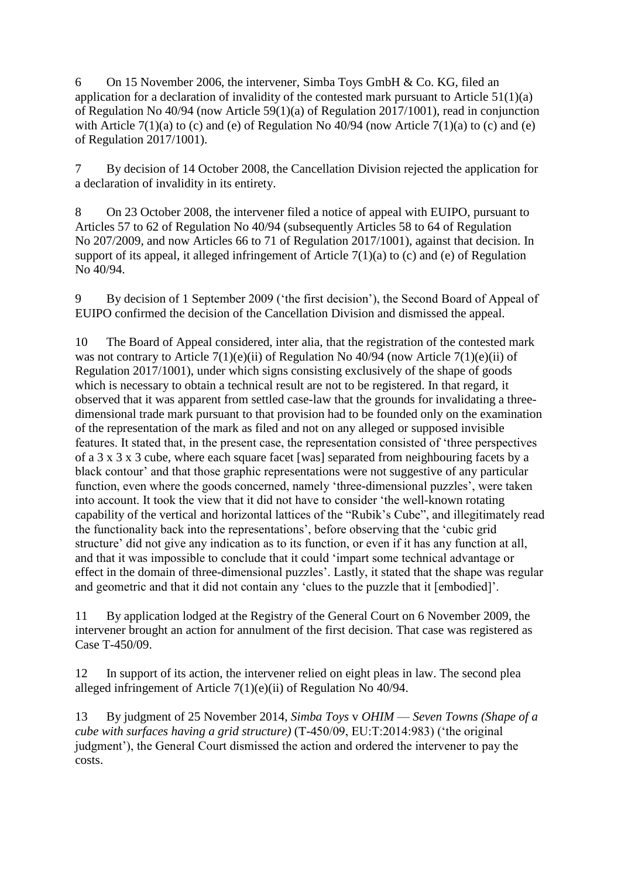6 On 15 November 2006, the intervener, Simba Toys GmbH & Co. KG, filed an application for a declaration of invalidity of the contested mark pursuant to Article  $51(1)(a)$ of Regulation No 40/94 (now Article 59(1)(a) of Regulation 2017/1001), read in conjunction with Article 7(1)(a) to (c) and (e) of Regulation No  $\frac{40}{94}$  (now Article 7(1)(a) to (c) and (e) of Regulation 2017/1001).

7 By decision of 14 October 2008, the Cancellation Division rejected the application for a declaration of invalidity in its entirety.

8 On 23 October 2008, the intervener filed a notice of appeal with EUIPO, pursuant to Articles 57 to 62 of Regulation No 40/94 (subsequently Articles 58 to 64 of Regulation No 207/2009, and now Articles 66 to 71 of Regulation 2017/1001), against that decision. In support of its appeal, it alleged infringement of Article 7(1)(a) to (c) and (e) of Regulation No 40/94.

9 By decision of 1 September 2009 ('the first decision'), the Second Board of Appeal of EUIPO confirmed the decision of the Cancellation Division and dismissed the appeal.

10 The Board of Appeal considered, inter alia, that the registration of the contested mark was not contrary to Article 7(1)(e)(ii) of Regulation No 40/94 (now Article 7(1)(e)(ii) of Regulation 2017/1001), under which signs consisting exclusively of the shape of goods which is necessary to obtain a technical result are not to be registered. In that regard, it observed that it was apparent from settled case-law that the grounds for invalidating a threedimensional trade mark pursuant to that provision had to be founded only on the examination of the representation of the mark as filed and not on any alleged or supposed invisible features. It stated that, in the present case, the representation consisted of 'three perspectives of a 3 x 3 x 3 cube, where each square facet [was] separated from neighbouring facets by a black contour' and that those graphic representations were not suggestive of any particular function, even where the goods concerned, namely 'three-dimensional puzzles', were taken into account. It took the view that it did not have to consider 'the well-known rotating capability of the vertical and horizontal lattices of the "Rubik's Cube", and illegitimately read the functionality back into the representations', before observing that the 'cubic grid structure' did not give any indication as to its function, or even if it has any function at all, and that it was impossible to conclude that it could 'impart some technical advantage or effect in the domain of three-dimensional puzzles'. Lastly, it stated that the shape was regular and geometric and that it did not contain any 'clues to the puzzle that it [embodied]'.

11 By application lodged at the Registry of the General Court on 6 November 2009, the intervener brought an action for annulment of the first decision. That case was registered as Case T-450/09.

12 In support of its action, the intervener relied on eight pleas in law. The second plea alleged infringement of Article 7(1)(e)(ii) of Regulation No 40/94.

13 By judgment of 25 November 2014, *Simba Toys* v *OHIM* — *Seven Towns (Shape of a cube with surfaces having a grid structure)* (T-450/09, EU:T:2014:983) ('the original judgment'), the General Court dismissed the action and ordered the intervener to pay the costs.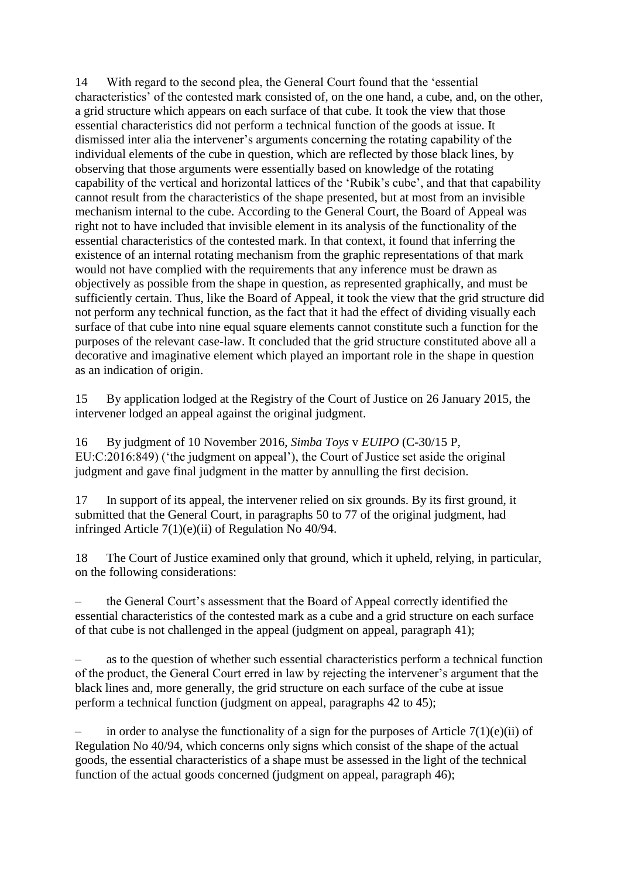14 With regard to the second plea, the General Court found that the 'essential characteristics' of the contested mark consisted of, on the one hand, a cube, and, on the other, a grid structure which appears on each surface of that cube. It took the view that those essential characteristics did not perform a technical function of the goods at issue. It dismissed inter alia the intervener's arguments concerning the rotating capability of the individual elements of the cube in question, which are reflected by those black lines, by observing that those arguments were essentially based on knowledge of the rotating capability of the vertical and horizontal lattices of the 'Rubik's cube', and that that capability cannot result from the characteristics of the shape presented, but at most from an invisible mechanism internal to the cube. According to the General Court, the Board of Appeal was right not to have included that invisible element in its analysis of the functionality of the essential characteristics of the contested mark. In that context, it found that inferring the existence of an internal rotating mechanism from the graphic representations of that mark would not have complied with the requirements that any inference must be drawn as objectively as possible from the shape in question, as represented graphically, and must be sufficiently certain. Thus, like the Board of Appeal, it took the view that the grid structure did not perform any technical function, as the fact that it had the effect of dividing visually each surface of that cube into nine equal square elements cannot constitute such a function for the purposes of the relevant case-law. It concluded that the grid structure constituted above all a decorative and imaginative element which played an important role in the shape in question as an indication of origin.

15 By application lodged at the Registry of the Court of Justice on 26 January 2015, the intervener lodged an appeal against the original judgment.

16 By judgment of 10 November 2016, *Simba Toys* v *EUIPO* (C-30/15 P, EU:C:2016:849) ('the judgment on appeal'), the Court of Justice set aside the original judgment and gave final judgment in the matter by annulling the first decision.

17 In support of its appeal, the intervener relied on six grounds. By its first ground, it submitted that the General Court, in paragraphs 50 to 77 of the original judgment, had infringed Article 7(1)(e)(ii) of Regulation No 40/94.

18 The Court of Justice examined only that ground, which it upheld, relying, in particular, on the following considerations:

– the General Court's assessment that the Board of Appeal correctly identified the essential characteristics of the contested mark as a cube and a grid structure on each surface of that cube is not challenged in the appeal (judgment on appeal, paragraph 41);

– as to the question of whether such essential characteristics perform a technical function of the product, the General Court erred in law by rejecting the intervener's argument that the black lines and, more generally, the grid structure on each surface of the cube at issue perform a technical function (judgment on appeal, paragraphs 42 to 45);

in order to analyse the functionality of a sign for the purposes of Article  $7(1)(e)(ii)$  of Regulation No 40/94, which concerns only signs which consist of the shape of the actual goods, the essential characteristics of a shape must be assessed in the light of the technical function of the actual goods concerned (judgment on appeal, paragraph 46);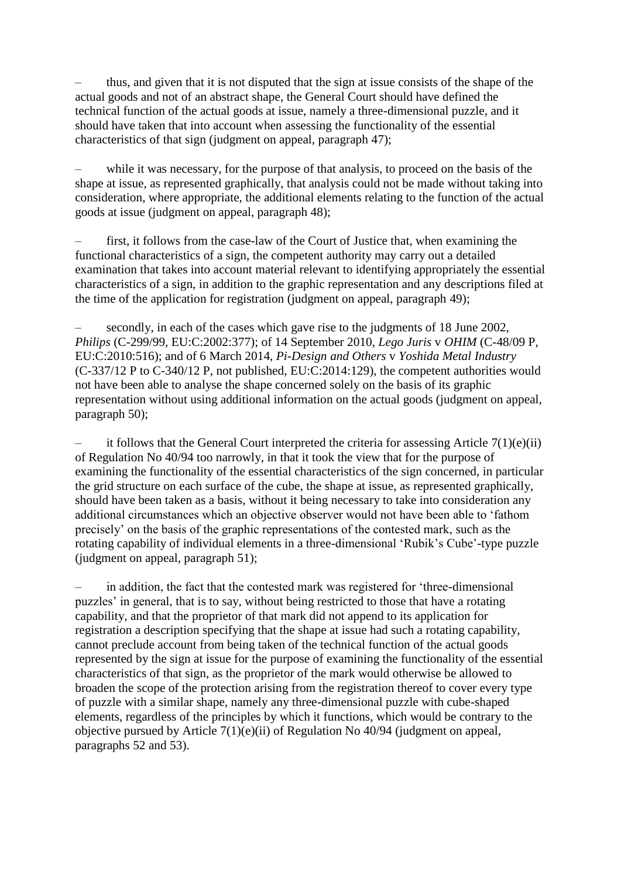– thus, and given that it is not disputed that the sign at issue consists of the shape of the actual goods and not of an abstract shape, the General Court should have defined the technical function of the actual goods at issue, namely a three-dimensional puzzle, and it should have taken that into account when assessing the functionality of the essential characteristics of that sign (judgment on appeal, paragraph 47);

while it was necessary, for the purpose of that analysis, to proceed on the basis of the shape at issue, as represented graphically, that analysis could not be made without taking into consideration, where appropriate, the additional elements relating to the function of the actual goods at issue (judgment on appeal, paragraph 48);

– first, it follows from the case-law of the Court of Justice that, when examining the functional characteristics of a sign, the competent authority may carry out a detailed examination that takes into account material relevant to identifying appropriately the essential characteristics of a sign, in addition to the graphic representation and any descriptions filed at the time of the application for registration (judgment on appeal, paragraph 49);

– secondly, in each of the cases which gave rise to the judgments of 18 June 2002, *Philips* (C-299/99, EU:C:2002:377); of 14 September 2010, *Lego Juris* v *OHIM* (C-48/09 P, EU:C:2010:516); and of 6 March 2014, *Pi-Design and Others* v *Yoshida Metal Industry* (C-337/12 P to C-340/12 P, not published, EU:C:2014:129), the competent authorities would not have been able to analyse the shape concerned solely on the basis of its graphic representation without using additional information on the actual goods (judgment on appeal, paragraph 50);

it follows that the General Court interpreted the criteria for assessing Article  $7(1)(e)(ii)$ of Regulation No 40/94 too narrowly, in that it took the view that for the purpose of examining the functionality of the essential characteristics of the sign concerned, in particular the grid structure on each surface of the cube, the shape at issue, as represented graphically, should have been taken as a basis, without it being necessary to take into consideration any additional circumstances which an objective observer would not have been able to 'fathom precisely' on the basis of the graphic representations of the contested mark, such as the rotating capability of individual elements in a three-dimensional 'Rubik's Cube'-type puzzle (judgment on appeal, paragraph 51);

– in addition, the fact that the contested mark was registered for 'three-dimensional puzzles' in general, that is to say, without being restricted to those that have a rotating capability, and that the proprietor of that mark did not append to its application for registration a description specifying that the shape at issue had such a rotating capability, cannot preclude account from being taken of the technical function of the actual goods represented by the sign at issue for the purpose of examining the functionality of the essential characteristics of that sign, as the proprietor of the mark would otherwise be allowed to broaden the scope of the protection arising from the registration thereof to cover every type of puzzle with a similar shape, namely any three-dimensional puzzle with cube-shaped elements, regardless of the principles by which it functions, which would be contrary to the objective pursued by Article 7(1)(e)(ii) of Regulation No 40/94 (judgment on appeal, paragraphs 52 and 53).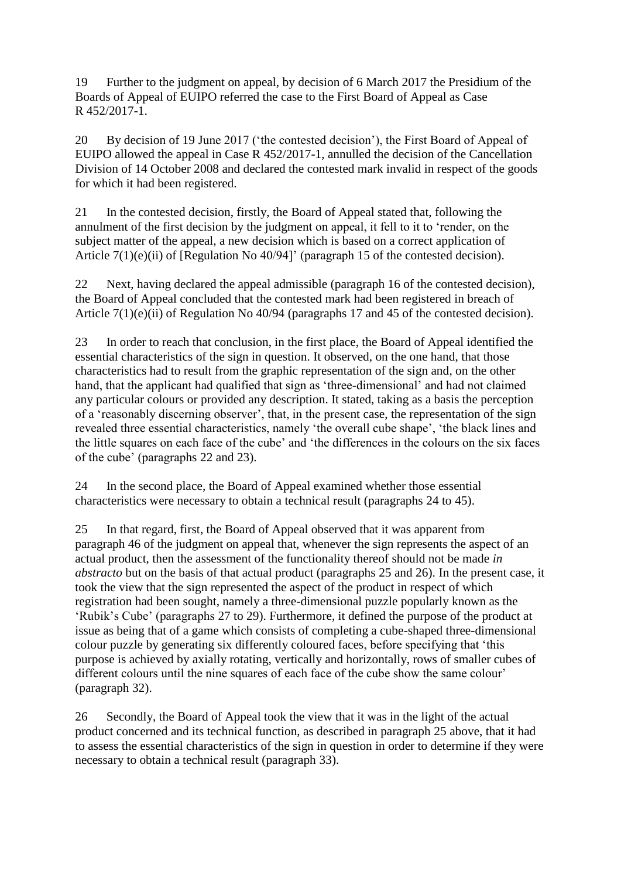19 Further to the judgment on appeal, by decision of 6 March 2017 the Presidium of the Boards of Appeal of EUIPO referred the case to the First Board of Appeal as Case R 452/2017-1.

20 By decision of 19 June 2017 ('the contested decision'), the First Board of Appeal of EUIPO allowed the appeal in Case R 452/2017-1, annulled the decision of the Cancellation Division of 14 October 2008 and declared the contested mark invalid in respect of the goods for which it had been registered.

21 In the contested decision, firstly, the Board of Appeal stated that, following the annulment of the first decision by the judgment on appeal, it fell to it to 'render, on the subject matter of the appeal, a new decision which is based on a correct application of Article 7(1)(e)(ii) of [Regulation No 40/94]' (paragraph 15 of the contested decision).

22 Next, having declared the appeal admissible (paragraph 16 of the contested decision), the Board of Appeal concluded that the contested mark had been registered in breach of Article 7(1)(e)(ii) of Regulation No 40/94 (paragraphs 17 and 45 of the contested decision).

23 In order to reach that conclusion, in the first place, the Board of Appeal identified the essential characteristics of the sign in question. It observed, on the one hand, that those characteristics had to result from the graphic representation of the sign and, on the other hand, that the applicant had qualified that sign as 'three-dimensional' and had not claimed any particular colours or provided any description. It stated, taking as a basis the perception of a 'reasonably discerning observer', that, in the present case, the representation of the sign revealed three essential characteristics, namely 'the overall cube shape', 'the black lines and the little squares on each face of the cube' and 'the differences in the colours on the six faces of the cube' (paragraphs 22 and 23).

24 In the second place, the Board of Appeal examined whether those essential characteristics were necessary to obtain a technical result (paragraphs 24 to 45).

25 In that regard, first, the Board of Appeal observed that it was apparent from paragraph 46 of the judgment on appeal that, whenever the sign represents the aspect of an actual product, then the assessment of the functionality thereof should not be made *in abstracto* but on the basis of that actual product (paragraphs 25 and 26). In the present case, it took the view that the sign represented the aspect of the product in respect of which registration had been sought, namely a three-dimensional puzzle popularly known as the 'Rubik's Cube' (paragraphs 27 to 29). Furthermore, it defined the purpose of the product at issue as being that of a game which consists of completing a cube-shaped three-dimensional colour puzzle by generating six differently coloured faces, before specifying that 'this purpose is achieved by axially rotating, vertically and horizontally, rows of smaller cubes of different colours until the nine squares of each face of the cube show the same colour' (paragraph 32).

26 Secondly, the Board of Appeal took the view that it was in the light of the actual product concerned and its technical function, as described in paragraph 25 above, that it had to assess the essential characteristics of the sign in question in order to determine if they were necessary to obtain a technical result (paragraph 33).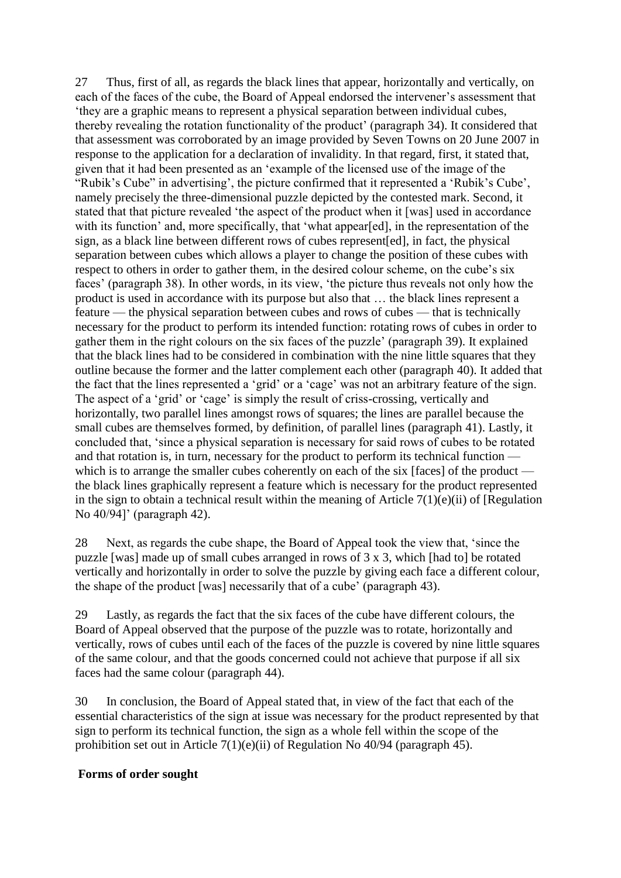27 Thus, first of all, as regards the black lines that appear, horizontally and vertically, on each of the faces of the cube, the Board of Appeal endorsed the intervener's assessment that 'they are a graphic means to represent a physical separation between individual cubes, thereby revealing the rotation functionality of the product' (paragraph 34). It considered that that assessment was corroborated by an image provided by Seven Towns on 20 June 2007 in response to the application for a declaration of invalidity. In that regard, first, it stated that, given that it had been presented as an 'example of the licensed use of the image of the "Rubik's Cube" in advertising', the picture confirmed that it represented a 'Rubik's Cube', namely precisely the three-dimensional puzzle depicted by the contested mark. Second, it stated that that picture revealed 'the aspect of the product when it [was] used in accordance with its function' and, more specifically, that 'what appear[ed], in the representation of the sign, as a black line between different rows of cubes represent[ed], in fact, the physical separation between cubes which allows a player to change the position of these cubes with respect to others in order to gather them, in the desired colour scheme, on the cube's six faces' (paragraph 38). In other words, in its view, 'the picture thus reveals not only how the product is used in accordance with its purpose but also that … the black lines represent a feature — the physical separation between cubes and rows of cubes — that is technically necessary for the product to perform its intended function: rotating rows of cubes in order to gather them in the right colours on the six faces of the puzzle' (paragraph 39). It explained that the black lines had to be considered in combination with the nine little squares that they outline because the former and the latter complement each other (paragraph 40). It added that the fact that the lines represented a 'grid' or a 'cage' was not an arbitrary feature of the sign. The aspect of a 'grid' or 'cage' is simply the result of criss-crossing, vertically and horizontally, two parallel lines amongst rows of squares; the lines are parallel because the small cubes are themselves formed, by definition, of parallel lines (paragraph 41). Lastly, it concluded that, 'since a physical separation is necessary for said rows of cubes to be rotated and that rotation is, in turn, necessary for the product to perform its technical function which is to arrange the smaller cubes coherently on each of the six [faces] of the product the black lines graphically represent a feature which is necessary for the product represented in the sign to obtain a technical result within the meaning of Article  $7(1)(e)(ii)$  of [Regulation No 40/94]' (paragraph 42).

28 Next, as regards the cube shape, the Board of Appeal took the view that, 'since the puzzle [was] made up of small cubes arranged in rows of 3 x 3, which [had to] be rotated vertically and horizontally in order to solve the puzzle by giving each face a different colour, the shape of the product [was] necessarily that of a cube' (paragraph 43).

29 Lastly, as regards the fact that the six faces of the cube have different colours, the Board of Appeal observed that the purpose of the puzzle was to rotate, horizontally and vertically, rows of cubes until each of the faces of the puzzle is covered by nine little squares of the same colour, and that the goods concerned could not achieve that purpose if all six faces had the same colour (paragraph 44).

30 In conclusion, the Board of Appeal stated that, in view of the fact that each of the essential characteristics of the sign at issue was necessary for the product represented by that sign to perform its technical function, the sign as a whole fell within the scope of the prohibition set out in Article 7(1)(e)(ii) of Regulation No 40/94 (paragraph 45).

#### **Forms of order sought**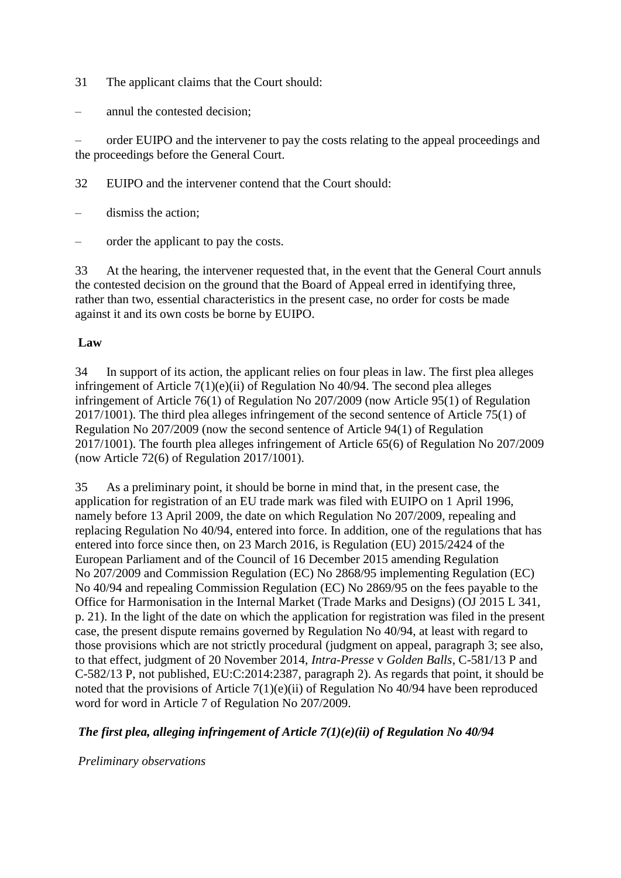- 31 The applicant claims that the Court should:
- annul the contested decision;

– order EUIPO and the intervener to pay the costs relating to the appeal proceedings and the proceedings before the General Court.

- 32 EUIPO and the intervener contend that the Court should:
- dismiss the action;
- order the applicant to pay the costs.

33 At the hearing, the intervener requested that, in the event that the General Court annuls the contested decision on the ground that the Board of Appeal erred in identifying three, rather than two, essential characteristics in the present case, no order for costs be made against it and its own costs be borne by EUIPO.

#### **Law**

34 In support of its action, the applicant relies on four pleas in law. The first plea alleges infringement of Article 7(1)(e)(ii) of Regulation No 40/94. The second plea alleges infringement of Article 76(1) of Regulation No 207/2009 (now Article 95(1) of Regulation 2017/1001). The third plea alleges infringement of the second sentence of Article 75(1) of Regulation No 207/2009 (now the second sentence of Article 94(1) of Regulation 2017/1001). The fourth plea alleges infringement of Article 65(6) of Regulation No 207/2009 (now Article 72(6) of Regulation 2017/1001).

35 As a preliminary point, it should be borne in mind that, in the present case, the application for registration of an EU trade mark was filed with EUIPO on 1 April 1996, namely before 13 April 2009, the date on which Regulation No 207/2009, repealing and replacing Regulation No 40/94, entered into force. In addition, one of the regulations that has entered into force since then, on 23 March 2016, is Regulation (EU) 2015/2424 of the European Parliament and of the Council of 16 December 2015 amending Regulation No 207/2009 and Commission Regulation (EC) No 2868/95 implementing Regulation (EC) No 40/94 and repealing Commission Regulation (EC) No 2869/95 on the fees payable to the Office for Harmonisation in the Internal Market (Trade Marks and Designs) (OJ 2015 L 341, p. 21). In the light of the date on which the application for registration was filed in the present case, the present dispute remains governed by Regulation No 40/94, at least with regard to those provisions which are not strictly procedural (judgment on appeal, paragraph 3; see also, to that effect, judgment of 20 November 2014, *Intra-Presse* v *Golden Balls*, C-581/13 P and C-582/13 P, not published, EU:C:2014:2387, paragraph 2). As regards that point, it should be noted that the provisions of Article 7(1)(e)(ii) of Regulation No 40/94 have been reproduced word for word in Article 7 of Regulation No 207/2009.

#### *The first plea, alleging infringement of Article 7(1)(e)(ii) of Regulation No 40/94*

#### *Preliminary observations*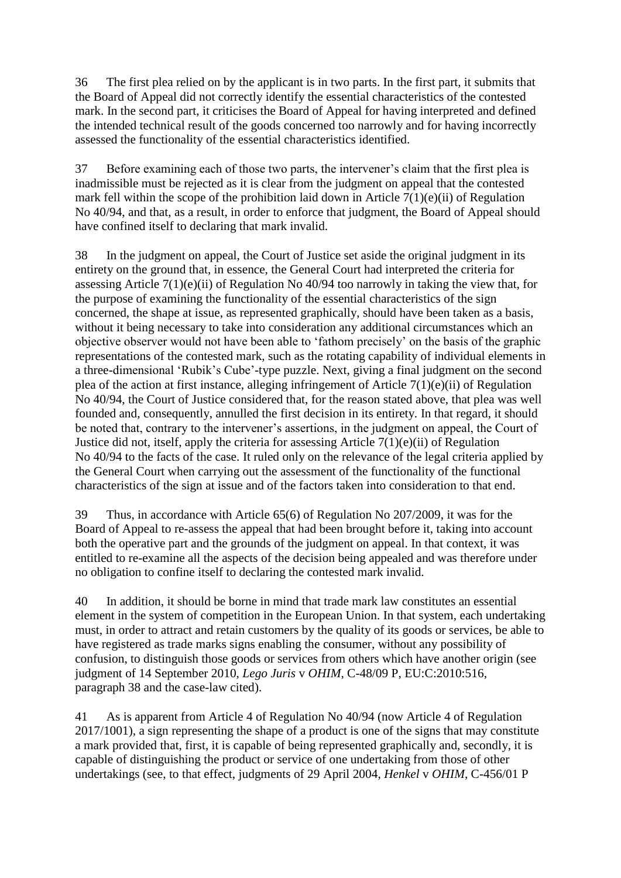36 The first plea relied on by the applicant is in two parts. In the first part, it submits that the Board of Appeal did not correctly identify the essential characteristics of the contested mark. In the second part, it criticises the Board of Appeal for having interpreted and defined the intended technical result of the goods concerned too narrowly and for having incorrectly assessed the functionality of the essential characteristics identified.

37 Before examining each of those two parts, the intervener's claim that the first plea is inadmissible must be rejected as it is clear from the judgment on appeal that the contested mark fell within the scope of the prohibition laid down in Article  $7(1)(e)(ii)$  of Regulation No 40/94, and that, as a result, in order to enforce that judgment, the Board of Appeal should have confined itself to declaring that mark invalid.

38 In the judgment on appeal, the Court of Justice set aside the original judgment in its entirety on the ground that, in essence, the General Court had interpreted the criteria for assessing Article 7(1)(e)(ii) of Regulation No 40/94 too narrowly in taking the view that, for the purpose of examining the functionality of the essential characteristics of the sign concerned, the shape at issue, as represented graphically, should have been taken as a basis, without it being necessary to take into consideration any additional circumstances which an objective observer would not have been able to 'fathom precisely' on the basis of the graphic representations of the contested mark, such as the rotating capability of individual elements in a three-dimensional 'Rubik's Cube'-type puzzle. Next, giving a final judgment on the second plea of the action at first instance, alleging infringement of Article 7(1)(e)(ii) of Regulation No 40/94, the Court of Justice considered that, for the reason stated above, that plea was well founded and, consequently, annulled the first decision in its entirety. In that regard, it should be noted that, contrary to the intervener's assertions, in the judgment on appeal, the Court of Justice did not, itself, apply the criteria for assessing Article 7(1)(e)(ii) of Regulation No 40/94 to the facts of the case. It ruled only on the relevance of the legal criteria applied by the General Court when carrying out the assessment of the functionality of the functional characteristics of the sign at issue and of the factors taken into consideration to that end.

39 Thus, in accordance with Article 65(6) of Regulation No 207/2009, it was for the Board of Appeal to re-assess the appeal that had been brought before it, taking into account both the operative part and the grounds of the judgment on appeal. In that context, it was entitled to re-examine all the aspects of the decision being appealed and was therefore under no obligation to confine itself to declaring the contested mark invalid.

40 In addition, it should be borne in mind that trade mark law constitutes an essential element in the system of competition in the European Union. In that system, each undertaking must, in order to attract and retain customers by the quality of its goods or services, be able to have registered as trade marks signs enabling the consumer, without any possibility of confusion, to distinguish those goods or services from others which have another origin (see judgment of 14 September 2010, *Lego Juris* v *OHIM*, C-48/09 P, EU:C:2010:516, paragraph 38 and the case-law cited).

41 As is apparent from Article 4 of Regulation No 40/94 (now Article 4 of Regulation 2017/1001), a sign representing the shape of a product is one of the signs that may constitute a mark provided that, first, it is capable of being represented graphically and, secondly, it is capable of distinguishing the product or service of one undertaking from those of other undertakings (see, to that effect, judgments of 29 April 2004, *Henkel* v *OHIM*, C-456/01 P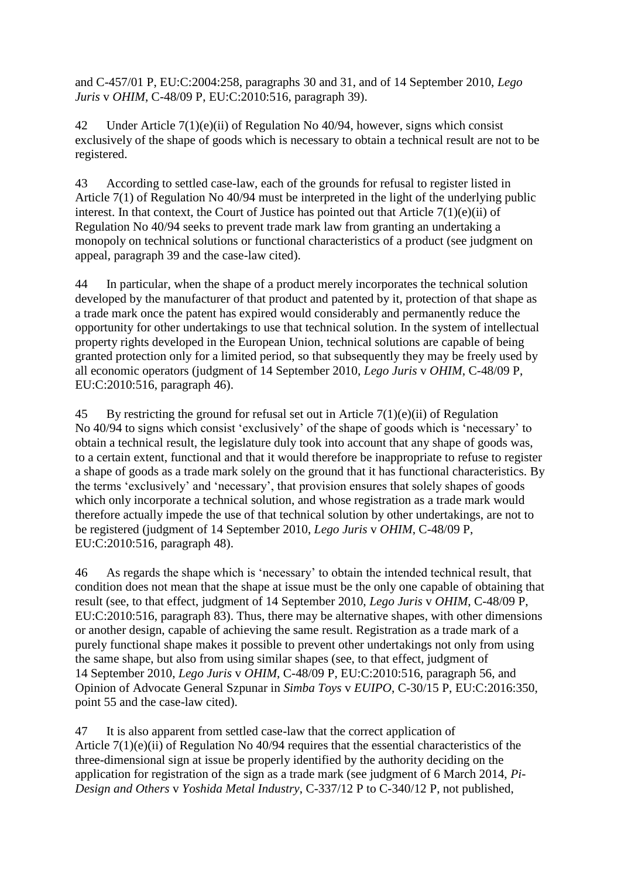and C-457/01 P, EU:C:2004:258, paragraphs 30 and 31, and of 14 September 2010, *Lego Juris* v *OHIM*, C-48/09 P, EU:C:2010:516, paragraph 39).

42 Under Article 7(1)(e)(ii) of Regulation No 40/94, however, signs which consist exclusively of the shape of goods which is necessary to obtain a technical result are not to be registered.

43 According to settled case-law, each of the grounds for refusal to register listed in Article 7(1) of Regulation No 40/94 must be interpreted in the light of the underlying public interest. In that context, the Court of Justice has pointed out that Article  $7(1)(e)(ii)$  of Regulation No 40/94 seeks to prevent trade mark law from granting an undertaking a monopoly on technical solutions or functional characteristics of a product (see judgment on appeal, paragraph 39 and the case-law cited).

44 In particular, when the shape of a product merely incorporates the technical solution developed by the manufacturer of that product and patented by it, protection of that shape as a trade mark once the patent has expired would considerably and permanently reduce the opportunity for other undertakings to use that technical solution. In the system of intellectual property rights developed in the European Union, technical solutions are capable of being granted protection only for a limited period, so that subsequently they may be freely used by all economic operators (judgment of 14 September 2010, *Lego Juris* v *OHIM*, C-48/09 P, EU:C:2010:516, paragraph 46).

45 By restricting the ground for refusal set out in Article 7(1)(e)(ii) of Regulation No 40/94 to signs which consist 'exclusively' of the shape of goods which is 'necessary' to obtain a technical result, the legislature duly took into account that any shape of goods was, to a certain extent, functional and that it would therefore be inappropriate to refuse to register a shape of goods as a trade mark solely on the ground that it has functional characteristics. By the terms 'exclusively' and 'necessary', that provision ensures that solely shapes of goods which only incorporate a technical solution, and whose registration as a trade mark would therefore actually impede the use of that technical solution by other undertakings, are not to be registered (judgment of 14 September 2010, *Lego Juris* v *OHIM*, C-48/09 P, EU:C:2010:516, paragraph 48).

46 As regards the shape which is 'necessary' to obtain the intended technical result, that condition does not mean that the shape at issue must be the only one capable of obtaining that result (see, to that effect, judgment of 14 September 2010, *Lego Juris* v *OHIM*, C-48/09 P, EU:C:2010:516, paragraph 83). Thus, there may be alternative shapes, with other dimensions or another design, capable of achieving the same result. Registration as a trade mark of a purely functional shape makes it possible to prevent other undertakings not only from using the same shape, but also from using similar shapes (see, to that effect, judgment of 14 September 2010, *Lego Juris* v *OHIM*, C-48/09 P, EU:C:2010:516, paragraph 56, and Opinion of Advocate General Szpunar in *Simba Toys* v *EUIPO*, C-30/15 P, EU:C:2016:350, point 55 and the case-law cited).

47 It is also apparent from settled case-law that the correct application of Article 7(1)(e)(ii) of Regulation No 40/94 requires that the essential characteristics of the three-dimensional sign at issue be properly identified by the authority deciding on the application for registration of the sign as a trade mark (see judgment of 6 March 2014, *Pi-Design and Others* v *Yoshida Metal Industry*, C-337/12 P to C-340/12 P, not published,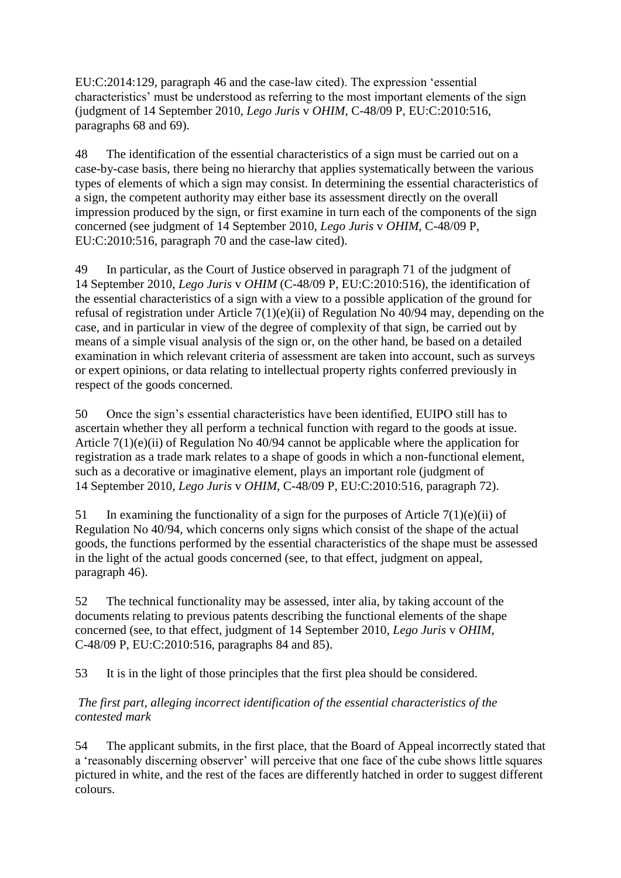EU:C:2014:129, paragraph 46 and the case-law cited). The expression 'essential characteristics' must be understood as referring to the most important elements of the sign (judgment of 14 September 2010, *Lego Juris* v *OHIM*, C-48/09 P, EU:C:2010:516, paragraphs 68 and 69).

48 The identification of the essential characteristics of a sign must be carried out on a case-by-case basis, there being no hierarchy that applies systematically between the various types of elements of which a sign may consist. In determining the essential characteristics of a sign, the competent authority may either base its assessment directly on the overall impression produced by the sign, or first examine in turn each of the components of the sign concerned (see judgment of 14 September 2010, *Lego Juris* v *OHIM*, C-48/09 P, EU:C:2010:516, paragraph 70 and the case-law cited).

49 In particular, as the Court of Justice observed in paragraph 71 of the judgment of 14 September 2010, *Lego Juris* v *OHIM* (C-48/09 P, EU:C:2010:516), the identification of the essential characteristics of a sign with a view to a possible application of the ground for refusal of registration under Article 7(1)(e)(ii) of Regulation No 40/94 may, depending on the case, and in particular in view of the degree of complexity of that sign, be carried out by means of a simple visual analysis of the sign or, on the other hand, be based on a detailed examination in which relevant criteria of assessment are taken into account, such as surveys or expert opinions, or data relating to intellectual property rights conferred previously in respect of the goods concerned.

50 Once the sign's essential characteristics have been identified, EUIPO still has to ascertain whether they all perform a technical function with regard to the goods at issue. Article 7(1)(e)(ii) of Regulation No 40/94 cannot be applicable where the application for registration as a trade mark relates to a shape of goods in which a non-functional element, such as a decorative or imaginative element, plays an important role (judgment of 14 September 2010, *Lego Juris* v *OHIM*, C-48/09 P, EU:C:2010:516, paragraph 72).

51 In examining the functionality of a sign for the purposes of Article  $7(1)(e)(ii)$  of Regulation No 40/94, which concerns only signs which consist of the shape of the actual goods, the functions performed by the essential characteristics of the shape must be assessed in the light of the actual goods concerned (see, to that effect, judgment on appeal, paragraph 46).

52 The technical functionality may be assessed, inter alia, by taking account of the documents relating to previous patents describing the functional elements of the shape concerned (see, to that effect, judgment of 14 September 2010, *Lego Juris* v *OHIM*, C-48/09 P, EU:C:2010:516, paragraphs 84 and 85).

53 It is in the light of those principles that the first plea should be considered.

#### *The first part, alleging incorrect identification of the essential characteristics of the contested mark*

54 The applicant submits, in the first place, that the Board of Appeal incorrectly stated that a 'reasonably discerning observer' will perceive that one face of the cube shows little squares pictured in white, and the rest of the faces are differently hatched in order to suggest different colours.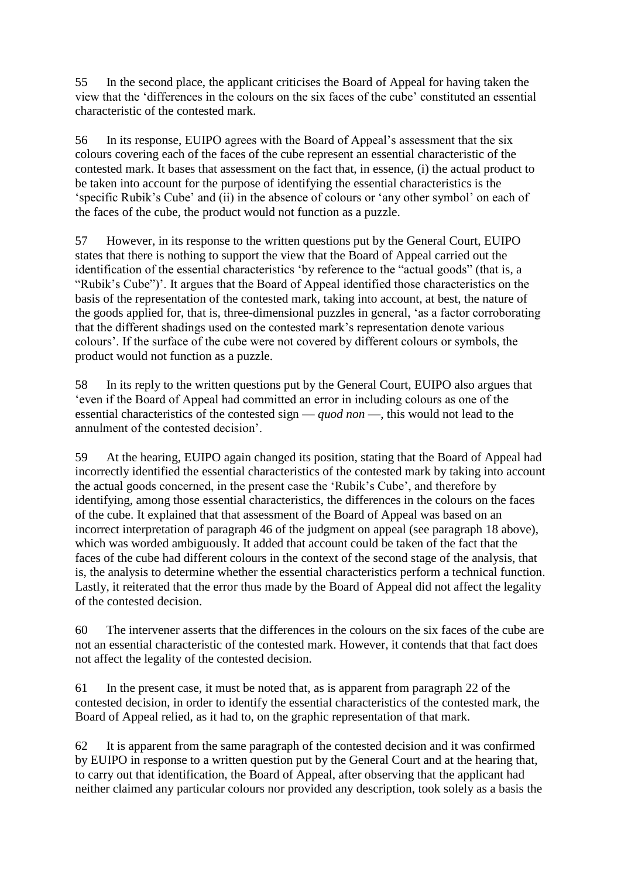55 In the second place, the applicant criticises the Board of Appeal for having taken the view that the 'differences in the colours on the six faces of the cube' constituted an essential characteristic of the contested mark.

56 In its response, EUIPO agrees with the Board of Appeal's assessment that the six colours covering each of the faces of the cube represent an essential characteristic of the contested mark. It bases that assessment on the fact that, in essence, (i) the actual product to be taken into account for the purpose of identifying the essential characteristics is the 'specific Rubik's Cube' and (ii) in the absence of colours or 'any other symbol' on each of the faces of the cube, the product would not function as a puzzle.

57 However, in its response to the written questions put by the General Court, EUIPO states that there is nothing to support the view that the Board of Appeal carried out the identification of the essential characteristics 'by reference to the "actual goods" (that is, a "Rubik's Cube")'. It argues that the Board of Appeal identified those characteristics on the basis of the representation of the contested mark, taking into account, at best, the nature of the goods applied for, that is, three-dimensional puzzles in general, 'as a factor corroborating that the different shadings used on the contested mark's representation denote various colours'. If the surface of the cube were not covered by different colours or symbols, the product would not function as a puzzle.

58 In its reply to the written questions put by the General Court, EUIPO also argues that 'even if the Board of Appeal had committed an error in including colours as one of the essential characteristics of the contested sign — *quod non* —, this would not lead to the annulment of the contested decision'.

59 At the hearing, EUIPO again changed its position, stating that the Board of Appeal had incorrectly identified the essential characteristics of the contested mark by taking into account the actual goods concerned, in the present case the 'Rubik's Cube', and therefore by identifying, among those essential characteristics, the differences in the colours on the faces of the cube. It explained that that assessment of the Board of Appeal was based on an incorrect interpretation of paragraph 46 of the judgment on appeal (see paragraph 18 above), which was worded ambiguously. It added that account could be taken of the fact that the faces of the cube had different colours in the context of the second stage of the analysis, that is, the analysis to determine whether the essential characteristics perform a technical function. Lastly, it reiterated that the error thus made by the Board of Appeal did not affect the legality of the contested decision.

60 The intervener asserts that the differences in the colours on the six faces of the cube are not an essential characteristic of the contested mark. However, it contends that that fact does not affect the legality of the contested decision.

61 In the present case, it must be noted that, as is apparent from paragraph 22 of the contested decision, in order to identify the essential characteristics of the contested mark, the Board of Appeal relied, as it had to, on the graphic representation of that mark.

62 It is apparent from the same paragraph of the contested decision and it was confirmed by EUIPO in response to a written question put by the General Court and at the hearing that, to carry out that identification, the Board of Appeal, after observing that the applicant had neither claimed any particular colours nor provided any description, took solely as a basis the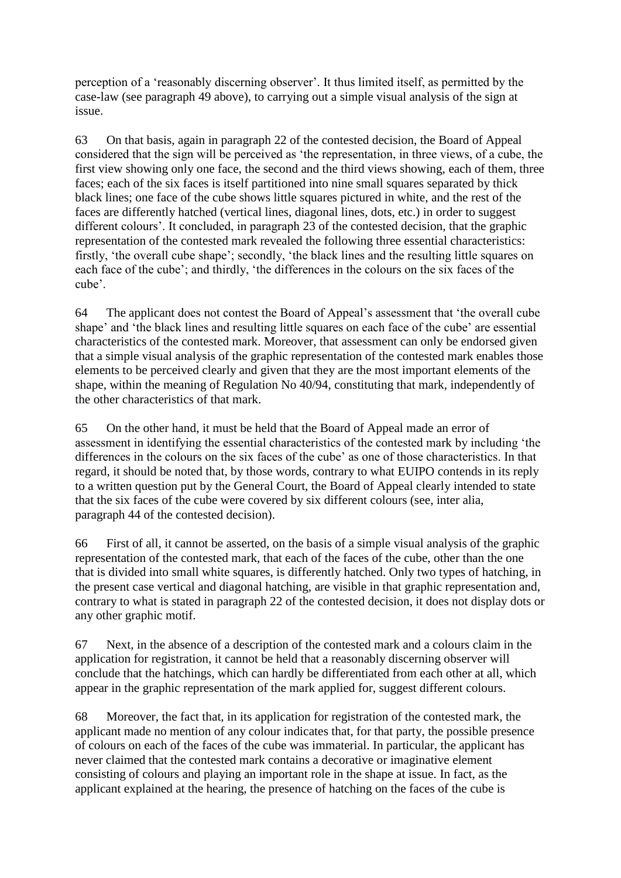perception of a 'reasonably discerning observer'. It thus limited itself, as permitted by the case-law (see paragraph 49 above), to carrying out a simple visual analysis of the sign at issue.

63 On that basis, again in paragraph 22 of the contested decision, the Board of Appeal considered that the sign will be perceived as 'the representation, in three views, of a cube, the first view showing only one face, the second and the third views showing, each of them, three faces; each of the six faces is itself partitioned into nine small squares separated by thick black lines; one face of the cube shows little squares pictured in white, and the rest of the faces are differently hatched (vertical lines, diagonal lines, dots, etc.) in order to suggest different colours'. It concluded, in paragraph 23 of the contested decision, that the graphic representation of the contested mark revealed the following three essential characteristics: firstly, 'the overall cube shape'; secondly, 'the black lines and the resulting little squares on each face of the cube'; and thirdly, 'the differences in the colours on the six faces of the cube'.

64 The applicant does not contest the Board of Appeal's assessment that 'the overall cube shape' and 'the black lines and resulting little squares on each face of the cube' are essential characteristics of the contested mark. Moreover, that assessment can only be endorsed given that a simple visual analysis of the graphic representation of the contested mark enables those elements to be perceived clearly and given that they are the most important elements of the shape, within the meaning of Regulation No 40/94, constituting that mark, independently of the other characteristics of that mark.

65 On the other hand, it must be held that the Board of Appeal made an error of assessment in identifying the essential characteristics of the contested mark by including 'the differences in the colours on the six faces of the cube' as one of those characteristics. In that regard, it should be noted that, by those words, contrary to what EUIPO contends in its reply to a written question put by the General Court, the Board of Appeal clearly intended to state that the six faces of the cube were covered by six different colours (see, inter alia, paragraph 44 of the contested decision).

66 First of all, it cannot be asserted, on the basis of a simple visual analysis of the graphic representation of the contested mark, that each of the faces of the cube, other than the one that is divided into small white squares, is differently hatched. Only two types of hatching, in the present case vertical and diagonal hatching, are visible in that graphic representation and, contrary to what is stated in paragraph 22 of the contested decision, it does not display dots or any other graphic motif.

67 Next, in the absence of a description of the contested mark and a colours claim in the application for registration, it cannot be held that a reasonably discerning observer will conclude that the hatchings, which can hardly be differentiated from each other at all, which appear in the graphic representation of the mark applied for, suggest different colours.

68 Moreover, the fact that, in its application for registration of the contested mark, the applicant made no mention of any colour indicates that, for that party, the possible presence of colours on each of the faces of the cube was immaterial. In particular, the applicant has never claimed that the contested mark contains a decorative or imaginative element consisting of colours and playing an important role in the shape at issue. In fact, as the applicant explained at the hearing, the presence of hatching on the faces of the cube is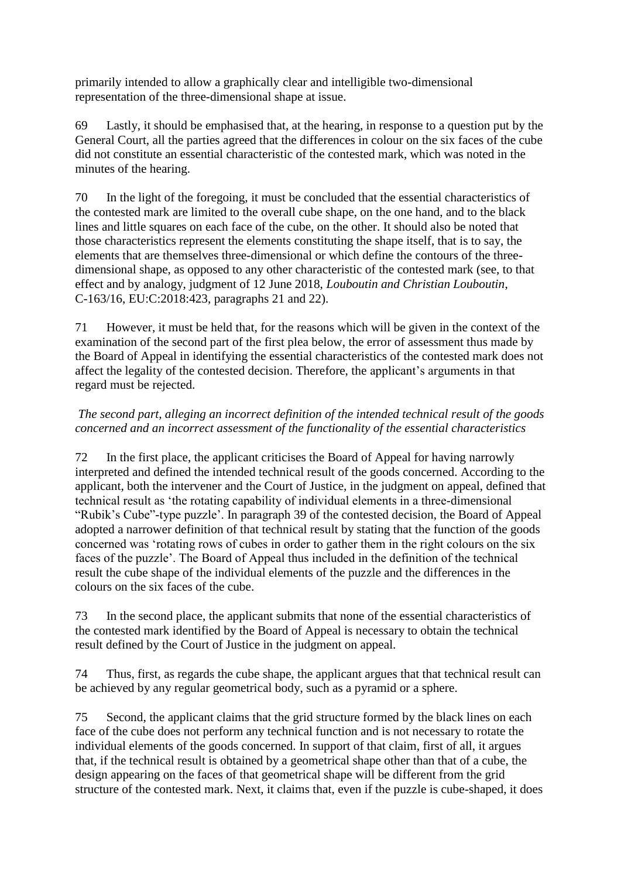primarily intended to allow a graphically clear and intelligible two-dimensional representation of the three-dimensional shape at issue.

69 Lastly, it should be emphasised that, at the hearing, in response to a question put by the General Court, all the parties agreed that the differences in colour on the six faces of the cube did not constitute an essential characteristic of the contested mark, which was noted in the minutes of the hearing.

70 In the light of the foregoing, it must be concluded that the essential characteristics of the contested mark are limited to the overall cube shape, on the one hand, and to the black lines and little squares on each face of the cube, on the other. It should also be noted that those characteristics represent the elements constituting the shape itself, that is to say, the elements that are themselves three-dimensional or which define the contours of the threedimensional shape, as opposed to any other characteristic of the contested mark (see, to that effect and by analogy, judgment of 12 June 2018, *Louboutin and Christian Louboutin*, C-163/16, EU:C:2018:423, paragraphs 21 and 22).

71 However, it must be held that, for the reasons which will be given in the context of the examination of the second part of the first plea below, the error of assessment thus made by the Board of Appeal in identifying the essential characteristics of the contested mark does not affect the legality of the contested decision. Therefore, the applicant's arguments in that regard must be rejected.

## *The second part, alleging an incorrect definition of the intended technical result of the goods concerned and an incorrect assessment of the functionality of the essential characteristics*

72 In the first place, the applicant criticises the Board of Appeal for having narrowly interpreted and defined the intended technical result of the goods concerned. According to the applicant, both the intervener and the Court of Justice, in the judgment on appeal, defined that technical result as 'the rotating capability of individual elements in a three-dimensional "Rubik's Cube"-type puzzle'. In paragraph 39 of the contested decision, the Board of Appeal adopted a narrower definition of that technical result by stating that the function of the goods concerned was 'rotating rows of cubes in order to gather them in the right colours on the six faces of the puzzle'. The Board of Appeal thus included in the definition of the technical result the cube shape of the individual elements of the puzzle and the differences in the colours on the six faces of the cube.

73 In the second place, the applicant submits that none of the essential characteristics of the contested mark identified by the Board of Appeal is necessary to obtain the technical result defined by the Court of Justice in the judgment on appeal.

74 Thus, first, as regards the cube shape, the applicant argues that that technical result can be achieved by any regular geometrical body, such as a pyramid or a sphere.

75 Second, the applicant claims that the grid structure formed by the black lines on each face of the cube does not perform any technical function and is not necessary to rotate the individual elements of the goods concerned. In support of that claim, first of all, it argues that, if the technical result is obtained by a geometrical shape other than that of a cube, the design appearing on the faces of that geometrical shape will be different from the grid structure of the contested mark. Next, it claims that, even if the puzzle is cube-shaped, it does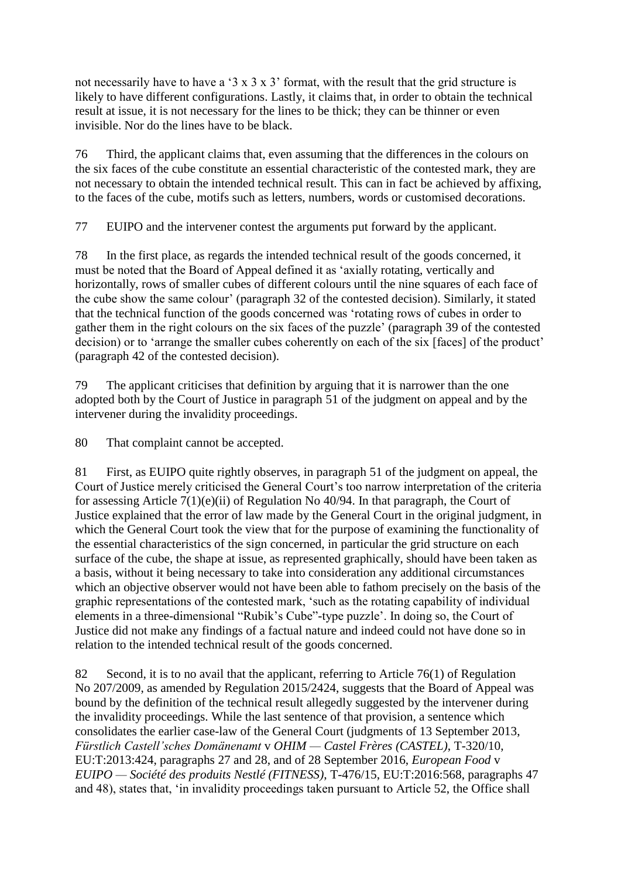not necessarily have to have a '3 x 3 x 3' format, with the result that the grid structure is likely to have different configurations. Lastly, it claims that, in order to obtain the technical result at issue, it is not necessary for the lines to be thick; they can be thinner or even invisible. Nor do the lines have to be black.

76 Third, the applicant claims that, even assuming that the differences in the colours on the six faces of the cube constitute an essential characteristic of the contested mark, they are not necessary to obtain the intended technical result. This can in fact be achieved by affixing, to the faces of the cube, motifs such as letters, numbers, words or customised decorations.

77 EUIPO and the intervener contest the arguments put forward by the applicant.

78 In the first place, as regards the intended technical result of the goods concerned, it must be noted that the Board of Appeal defined it as 'axially rotating, vertically and horizontally, rows of smaller cubes of different colours until the nine squares of each face of the cube show the same colour' (paragraph 32 of the contested decision). Similarly, it stated that the technical function of the goods concerned was 'rotating rows of cubes in order to gather them in the right colours on the six faces of the puzzle' (paragraph 39 of the contested decision) or to 'arrange the smaller cubes coherently on each of the six [faces] of the product' (paragraph 42 of the contested decision).

79 The applicant criticises that definition by arguing that it is narrower than the one adopted both by the Court of Justice in paragraph 51 of the judgment on appeal and by the intervener during the invalidity proceedings.

80 That complaint cannot be accepted.

81 First, as EUIPO quite rightly observes, in paragraph 51 of the judgment on appeal, the Court of Justice merely criticised the General Court's too narrow interpretation of the criteria for assessing Article 7(1)(e)(ii) of Regulation No 40/94. In that paragraph, the Court of Justice explained that the error of law made by the General Court in the original judgment, in which the General Court took the view that for the purpose of examining the functionality of the essential characteristics of the sign concerned, in particular the grid structure on each surface of the cube, the shape at issue, as represented graphically, should have been taken as a basis, without it being necessary to take into consideration any additional circumstances which an objective observer would not have been able to fathom precisely on the basis of the graphic representations of the contested mark, 'such as the rotating capability of individual elements in a three-dimensional "Rubik's Cube"-type puzzle'. In doing so, the Court of Justice did not make any findings of a factual nature and indeed could not have done so in relation to the intended technical result of the goods concerned.

82 Second, it is to no avail that the applicant, referring to Article 76(1) of Regulation No 207/2009, as amended by Regulation 2015/2424, suggests that the Board of Appeal was bound by the definition of the technical result allegedly suggested by the intervener during the invalidity proceedings. While the last sentence of that provision, a sentence which consolidates the earlier case-law of the General Court (judgments of 13 September 2013, *Fürstlich Castell'sches Domänenamt* v *OHIM — Castel Frères (CASTEL)*, T-320/10, EU:T:2013:424, paragraphs 27 and 28, and of 28 September 2016, *European Food* v *EUIPO — Société des produits Nestlé (FITNESS)*, T-476/15, EU:T:2016:568, paragraphs 47 and 48), states that, 'in invalidity proceedings taken pursuant to Article 52, the Office shall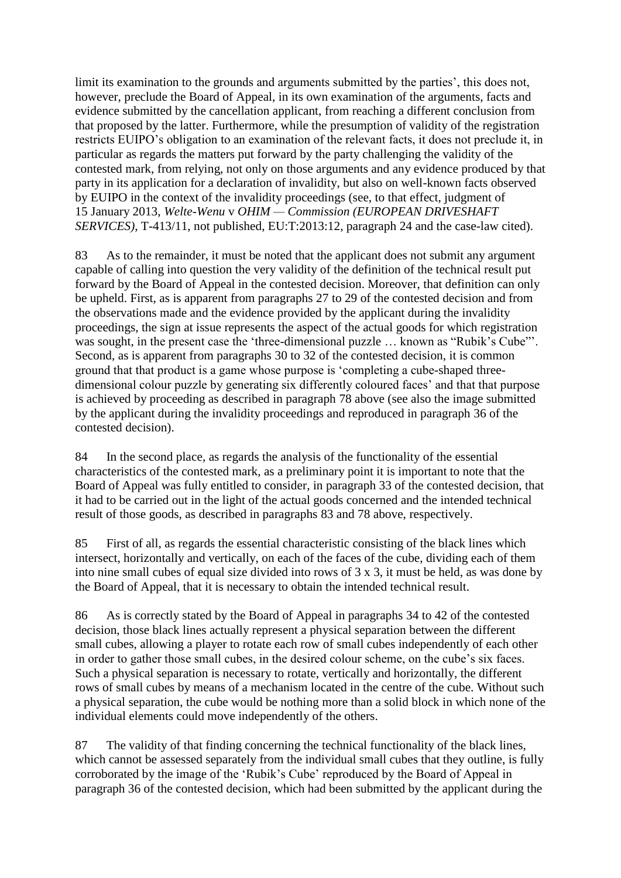limit its examination to the grounds and arguments submitted by the parties', this does not, however, preclude the Board of Appeal, in its own examination of the arguments, facts and evidence submitted by the cancellation applicant, from reaching a different conclusion from that proposed by the latter. Furthermore, while the presumption of validity of the registration restricts EUIPO's obligation to an examination of the relevant facts, it does not preclude it, in particular as regards the matters put forward by the party challenging the validity of the contested mark, from relying, not only on those arguments and any evidence produced by that party in its application for a declaration of invalidity, but also on well-known facts observed by EUIPO in the context of the invalidity proceedings (see, to that effect, judgment of 15 January 2013, *Welte-Wenu* v *OHIM — Commission (EUROPEAN DRIVESHAFT SERVICES)*, T-413/11, not published, EU:T:2013:12, paragraph 24 and the case-law cited).

83 As to the remainder, it must be noted that the applicant does not submit any argument capable of calling into question the very validity of the definition of the technical result put forward by the Board of Appeal in the contested decision. Moreover, that definition can only be upheld. First, as is apparent from paragraphs 27 to 29 of the contested decision and from the observations made and the evidence provided by the applicant during the invalidity proceedings, the sign at issue represents the aspect of the actual goods for which registration was sought, in the present case the 'three-dimensional puzzle ... known as "Rubik's Cube"'. Second, as is apparent from paragraphs 30 to 32 of the contested decision, it is common ground that that product is a game whose purpose is 'completing a cube-shaped threedimensional colour puzzle by generating six differently coloured faces' and that that purpose is achieved by proceeding as described in paragraph 78 above (see also the image submitted by the applicant during the invalidity proceedings and reproduced in paragraph 36 of the contested decision).

84 In the second place, as regards the analysis of the functionality of the essential characteristics of the contested mark, as a preliminary point it is important to note that the Board of Appeal was fully entitled to consider, in paragraph 33 of the contested decision, that it had to be carried out in the light of the actual goods concerned and the intended technical result of those goods, as described in paragraphs 83 and 78 above, respectively.

85 First of all, as regards the essential characteristic consisting of the black lines which intersect, horizontally and vertically, on each of the faces of the cube, dividing each of them into nine small cubes of equal size divided into rows of 3 x 3, it must be held, as was done by the Board of Appeal, that it is necessary to obtain the intended technical result.

86 As is correctly stated by the Board of Appeal in paragraphs 34 to 42 of the contested decision, those black lines actually represent a physical separation between the different small cubes, allowing a player to rotate each row of small cubes independently of each other in order to gather those small cubes, in the desired colour scheme, on the cube's six faces. Such a physical separation is necessary to rotate, vertically and horizontally, the different rows of small cubes by means of a mechanism located in the centre of the cube. Without such a physical separation, the cube would be nothing more than a solid block in which none of the individual elements could move independently of the others.

87 The validity of that finding concerning the technical functionality of the black lines, which cannot be assessed separately from the individual small cubes that they outline, is fully corroborated by the image of the 'Rubik's Cube' reproduced by the Board of Appeal in paragraph 36 of the contested decision, which had been submitted by the applicant during the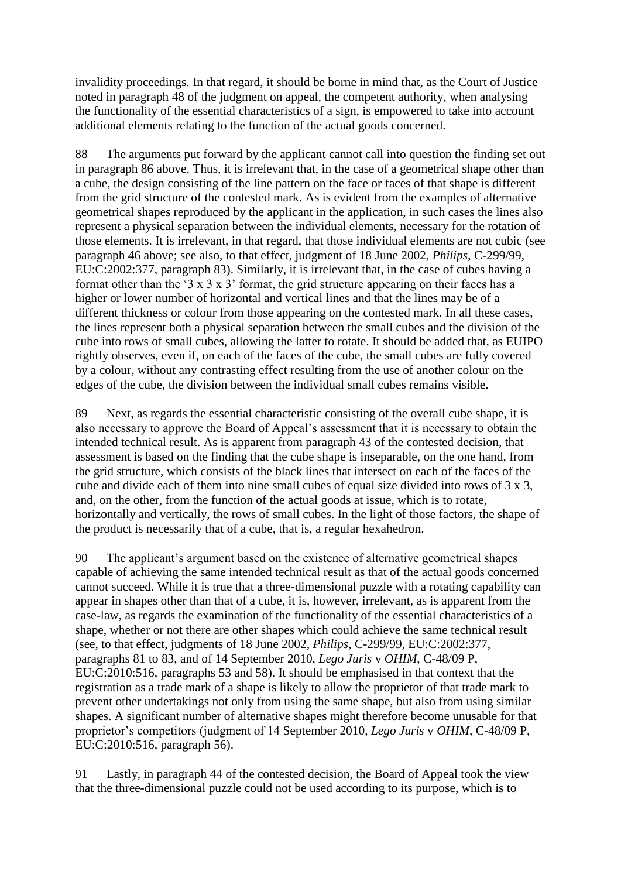invalidity proceedings. In that regard, it should be borne in mind that, as the Court of Justice noted in paragraph 48 of the judgment on appeal, the competent authority, when analysing the functionality of the essential characteristics of a sign, is empowered to take into account additional elements relating to the function of the actual goods concerned.

88 The arguments put forward by the applicant cannot call into question the finding set out in paragraph 86 above. Thus, it is irrelevant that, in the case of a geometrical shape other than a cube, the design consisting of the line pattern on the face or faces of that shape is different from the grid structure of the contested mark. As is evident from the examples of alternative geometrical shapes reproduced by the applicant in the application, in such cases the lines also represent a physical separation between the individual elements, necessary for the rotation of those elements. It is irrelevant, in that regard, that those individual elements are not cubic (see paragraph 46 above; see also, to that effect, judgment of 18 June 2002, *Philips*, C-299/99, EU:C:2002:377, paragraph 83). Similarly, it is irrelevant that, in the case of cubes having a format other than the '3 x 3 x 3' format, the grid structure appearing on their faces has a higher or lower number of horizontal and vertical lines and that the lines may be of a different thickness or colour from those appearing on the contested mark. In all these cases, the lines represent both a physical separation between the small cubes and the division of the cube into rows of small cubes, allowing the latter to rotate. It should be added that, as EUIPO rightly observes, even if, on each of the faces of the cube, the small cubes are fully covered by a colour, without any contrasting effect resulting from the use of another colour on the edges of the cube, the division between the individual small cubes remains visible.

89 Next, as regards the essential characteristic consisting of the overall cube shape, it is also necessary to approve the Board of Appeal's assessment that it is necessary to obtain the intended technical result. As is apparent from paragraph 43 of the contested decision, that assessment is based on the finding that the cube shape is inseparable, on the one hand, from the grid structure, which consists of the black lines that intersect on each of the faces of the cube and divide each of them into nine small cubes of equal size divided into rows of 3 x 3, and, on the other, from the function of the actual goods at issue, which is to rotate, horizontally and vertically, the rows of small cubes. In the light of those factors, the shape of the product is necessarily that of a cube, that is, a regular hexahedron.

90 The applicant's argument based on the existence of alternative geometrical shapes capable of achieving the same intended technical result as that of the actual goods concerned cannot succeed. While it is true that a three-dimensional puzzle with a rotating capability can appear in shapes other than that of a cube, it is, however, irrelevant, as is apparent from the case-law, as regards the examination of the functionality of the essential characteristics of a shape, whether or not there are other shapes which could achieve the same technical result (see, to that effect, judgments of 18 June 2002, *Philips*, C-299/99, EU:C:2002:377, paragraphs 81 to 83, and of 14 September 2010, *Lego Juris* v *OHIM*, C-48/09 P, EU:C:2010:516, paragraphs 53 and 58). It should be emphasised in that context that the registration as a trade mark of a shape is likely to allow the proprietor of that trade mark to prevent other undertakings not only from using the same shape, but also from using similar shapes. A significant number of alternative shapes might therefore become unusable for that proprietor's competitors (judgment of 14 September 2010, *Lego Juris* v *OHIM*, C-48/09 P, EU:C:2010:516, paragraph 56).

91 Lastly, in paragraph 44 of the contested decision, the Board of Appeal took the view that the three-dimensional puzzle could not be used according to its purpose, which is to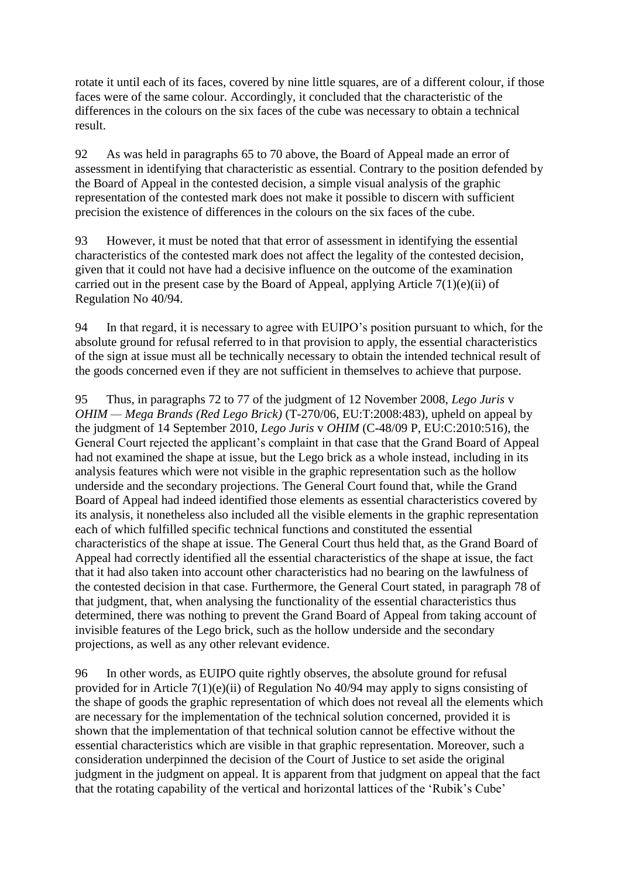rotate it until each of its faces, covered by nine little squares, are of a different colour, if those faces were of the same colour. Accordingly, it concluded that the characteristic of the differences in the colours on the six faces of the cube was necessary to obtain a technical result.

92 As was held in paragraphs 65 to 70 above, the Board of Appeal made an error of assessment in identifying that characteristic as essential. Contrary to the position defended by the Board of Appeal in the contested decision, a simple visual analysis of the graphic representation of the contested mark does not make it possible to discern with sufficient precision the existence of differences in the colours on the six faces of the cube.

93 However, it must be noted that that error of assessment in identifying the essential characteristics of the contested mark does not affect the legality of the contested decision, given that it could not have had a decisive influence on the outcome of the examination carried out in the present case by the Board of Appeal, applying Article  $7(1)(e)(ii)$  of Regulation No 40/94.

94 In that regard, it is necessary to agree with EUIPO's position pursuant to which, for the absolute ground for refusal referred to in that provision to apply, the essential characteristics of the sign at issue must all be technically necessary to obtain the intended technical result of the goods concerned even if they are not sufficient in themselves to achieve that purpose.

95 Thus, in paragraphs 72 to 77 of the judgment of 12 November 2008, *Lego Juris* v *OHIM* — *Mega Brands* (*Red Lego Brick*) (T-270/06, EU:T:2008:483), upheld on appeal by the judgment of 14 September 2010, *Lego Juris* v *OHIM* (C-48/09 P, EU:C:2010:516), the General Court rejected the applicant's complaint in that case that the Grand Board of Appeal had not examined the shape at issue, but the Lego brick as a whole instead, including in its analysis features which were not visible in the graphic representation such as the hollow underside and the secondary projections. The General Court found that, while the Grand Board of Appeal had indeed identified those elements as essential characteristics covered by its analysis, it nonetheless also included all the visible elements in the graphic representation each of which fulfilled specific technical functions and constituted the essential characteristics of the shape at issue. The General Court thus held that, as the Grand Board of Appeal had correctly identified all the essential characteristics of the shape at issue, the fact that it had also taken into account other characteristics had no bearing on the lawfulness of the contested decision in that case. Furthermore, the General Court stated, in paragraph 78 of that judgment, that, when analysing the functionality of the essential characteristics thus determined, there was nothing to prevent the Grand Board of Appeal from taking account of invisible features of the Lego brick, such as the hollow underside and the secondary projections, as well as any other relevant evidence.

96 In other words, as EUIPO quite rightly observes, the absolute ground for refusal provided for in Article 7(1)(e)(ii) of Regulation No 40/94 may apply to signs consisting of the shape of goods the graphic representation of which does not reveal all the elements which are necessary for the implementation of the technical solution concerned, provided it is shown that the implementation of that technical solution cannot be effective without the essential characteristics which are visible in that graphic representation. Moreover, such a consideration underpinned the decision of the Court of Justice to set aside the original judgment in the judgment on appeal. It is apparent from that judgment on appeal that the fact that the rotating capability of the vertical and horizontal lattices of the 'Rubik's Cube'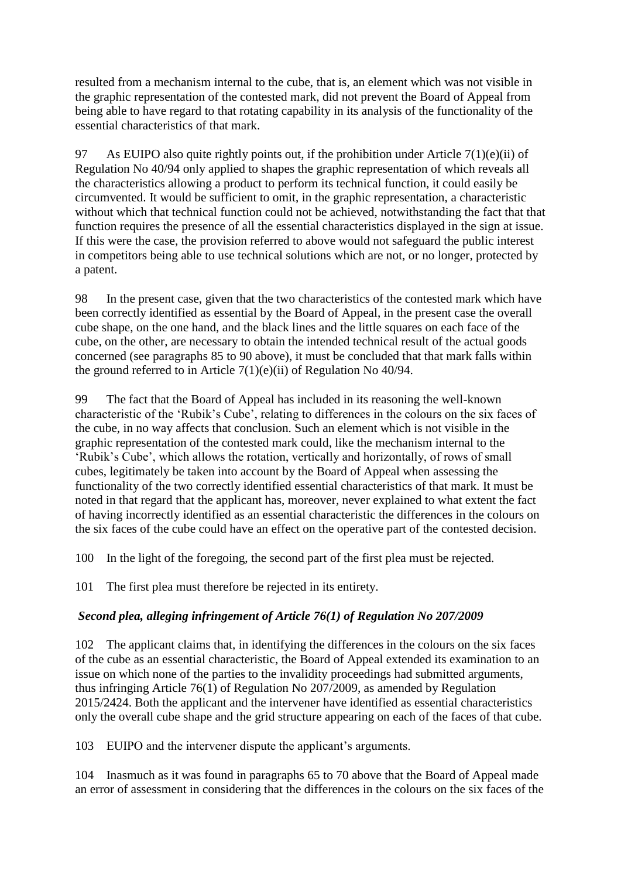resulted from a mechanism internal to the cube, that is, an element which was not visible in the graphic representation of the contested mark, did not prevent the Board of Appeal from being able to have regard to that rotating capability in its analysis of the functionality of the essential characteristics of that mark.

97 As EUIPO also quite rightly points out, if the prohibition under Article  $7(1)(e)(ii)$  of Regulation No 40/94 only applied to shapes the graphic representation of which reveals all the characteristics allowing a product to perform its technical function, it could easily be circumvented. It would be sufficient to omit, in the graphic representation, a characteristic without which that technical function could not be achieved, notwithstanding the fact that that function requires the presence of all the essential characteristics displayed in the sign at issue. If this were the case, the provision referred to above would not safeguard the public interest in competitors being able to use technical solutions which are not, or no longer, protected by a patent.

98 In the present case, given that the two characteristics of the contested mark which have been correctly identified as essential by the Board of Appeal, in the present case the overall cube shape, on the one hand, and the black lines and the little squares on each face of the cube, on the other, are necessary to obtain the intended technical result of the actual goods concerned (see paragraphs 85 to 90 above), it must be concluded that that mark falls within the ground referred to in Article 7(1)(e)(ii) of Regulation No 40/94.

99 The fact that the Board of Appeal has included in its reasoning the well-known characteristic of the 'Rubik's Cube', relating to differences in the colours on the six faces of the cube, in no way affects that conclusion. Such an element which is not visible in the graphic representation of the contested mark could, like the mechanism internal to the 'Rubik's Cube', which allows the rotation, vertically and horizontally, of rows of small cubes, legitimately be taken into account by the Board of Appeal when assessing the functionality of the two correctly identified essential characteristics of that mark. It must be noted in that regard that the applicant has, moreover, never explained to what extent the fact of having incorrectly identified as an essential characteristic the differences in the colours on the six faces of the cube could have an effect on the operative part of the contested decision.

100 In the light of the foregoing, the second part of the first plea must be rejected.

101 The first plea must therefore be rejected in its entirety.

# *Second plea, alleging infringement of Article 76(1) of Regulation No 207/2009*

102 The applicant claims that, in identifying the differences in the colours on the six faces of the cube as an essential characteristic, the Board of Appeal extended its examination to an issue on which none of the parties to the invalidity proceedings had submitted arguments, thus infringing Article 76(1) of Regulation No 207/2009, as amended by Regulation 2015/2424. Both the applicant and the intervener have identified as essential characteristics only the overall cube shape and the grid structure appearing on each of the faces of that cube.

103 EUIPO and the intervener dispute the applicant's arguments.

104 Inasmuch as it was found in paragraphs 65 to 70 above that the Board of Appeal made an error of assessment in considering that the differences in the colours on the six faces of the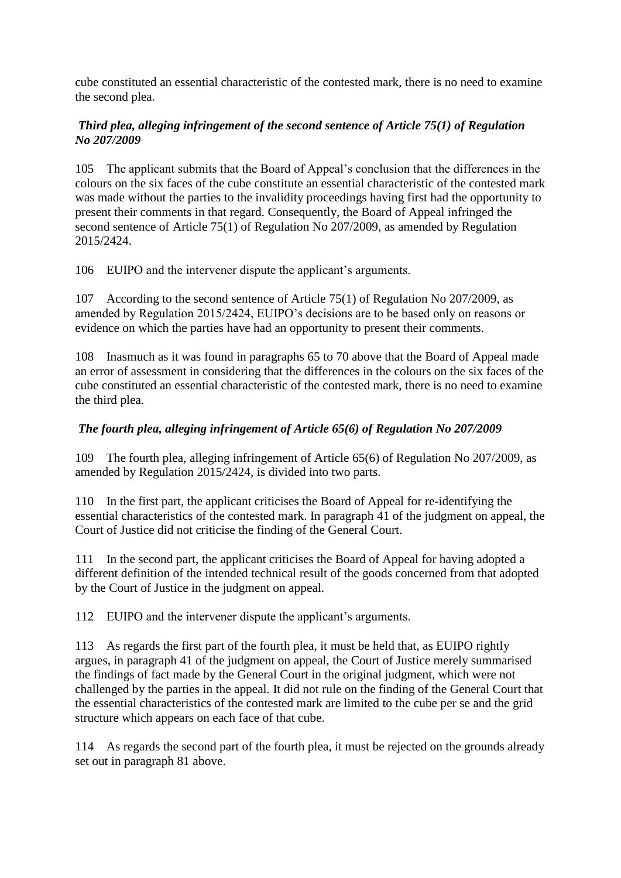cube constituted an essential characteristic of the contested mark, there is no need to examine the second plea.

## *Third plea, alleging infringement of the second sentence of Article 75(1) of Regulation No 207/2009*

105 The applicant submits that the Board of Appeal's conclusion that the differences in the colours on the six faces of the cube constitute an essential characteristic of the contested mark was made without the parties to the invalidity proceedings having first had the opportunity to present their comments in that regard. Consequently, the Board of Appeal infringed the second sentence of Article 75(1) of Regulation No 207/2009, as amended by Regulation 2015/2424.

106 EUIPO and the intervener dispute the applicant's arguments.

107 According to the second sentence of Article 75(1) of Regulation No 207/2009, as amended by Regulation 2015/2424, EUIPO's decisions are to be based only on reasons or evidence on which the parties have had an opportunity to present their comments.

108 Inasmuch as it was found in paragraphs 65 to 70 above that the Board of Appeal made an error of assessment in considering that the differences in the colours on the six faces of the cube constituted an essential characteristic of the contested mark, there is no need to examine the third plea.

# *The fourth plea, alleging infringement of Article 65(6) of Regulation No 207/2009*

109 The fourth plea, alleging infringement of Article 65(6) of Regulation No 207/2009, as amended by Regulation 2015/2424, is divided into two parts.

110 In the first part, the applicant criticises the Board of Appeal for re-identifying the essential characteristics of the contested mark. In paragraph 41 of the judgment on appeal, the Court of Justice did not criticise the finding of the General Court.

111 In the second part, the applicant criticises the Board of Appeal for having adopted a different definition of the intended technical result of the goods concerned from that adopted by the Court of Justice in the judgment on appeal.

112 EUIPO and the intervener dispute the applicant's arguments.

113 As regards the first part of the fourth plea, it must be held that, as EUIPO rightly argues, in paragraph 41 of the judgment on appeal, the Court of Justice merely summarised the findings of fact made by the General Court in the original judgment, which were not challenged by the parties in the appeal. It did not rule on the finding of the General Court that the essential characteristics of the contested mark are limited to the cube per se and the grid structure which appears on each face of that cube.

114 As regards the second part of the fourth plea, it must be rejected on the grounds already set out in paragraph 81 above.